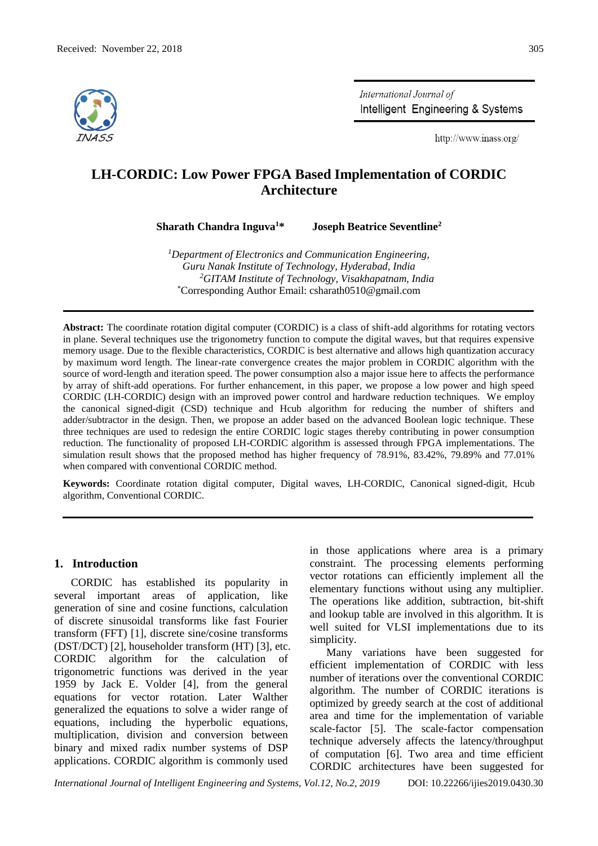

International Journal of Intelligent Engineering & Systems

http://www.inass.org/

# **LH-CORDIC: Low Power FPGA Based Implementation of CORDIC Architecture**

**Sharath Chandra Inguva<sup>1</sup>\* Joseph Beatrice Seventline<sup>2</sup>**

*<sup>1</sup>Department of Electronics and Communication Engineering, Guru Nanak Institute of Technology, Hyderabad, India <sup>2</sup>GITAM Institute of Technology, Visakhapatnam, India* \*Corresponding Author Email: csharath0510@gmail.com

**Abstract:** The coordinate rotation digital computer (CORDIC) is a class of shift-add algorithms for rotating vectors in plane. Several techniques use the trigonometry function to compute the digital waves, but that requires expensive memory usage. Due to the flexible characteristics, CORDIC is best alternative and allows high quantization accuracy by maximum word length. The linear-rate convergence creates the major problem in CORDIC algorithm with the source of word-length and iteration speed. The power consumption also a major issue here to affects the performance by array of shift-add operations. For further enhancement, in this paper, we propose a low power and high speed CORDIC (LH-CORDIC) design with an improved power control and hardware reduction techniques. We employ the canonical signed-digit (CSD) technique and Hcub algorithm for reducing the number of shifters and adder/subtractor in the design. Then, we propose an adder based on the advanced Boolean logic technique. These three techniques are used to redesign the entire CORDIC logic stages thereby contributing in power consumption reduction. The functionality of proposed LH-CORDIC algorithm is assessed through FPGA implementations. The simulation result shows that the proposed method has higher frequency of 78.91%, 83.42%, 79.89% and 77.01% when compared with conventional CORDIC method.

**Keywords:** Coordinate rotation digital computer, Digital waves, LH-CORDIC, Canonical signed-digit, Hcub algorithm, Conventional CORDIC.

### **1. Introduction**

CORDIC has established its popularity in several important areas of application, like generation of sine and cosine functions, calculation of discrete sinusoidal transforms like fast Fourier transform (FFT) [1], discrete sine/cosine transforms (DST/DCT) [2], householder transform (HT) [3], etc. CORDIC algorithm for the calculation of trigonometric functions was derived in the year 1959 by Jack E. Volder [4], from the general equations for vector rotation. Later Walther generalized the equations to solve a wider range of equations, including the hyperbolic equations, multiplication, division and conversion between binary and mixed radix number systems of DSP applications. CORDIC algorithm is commonly used

in those applications where area is a primary constraint. The processing elements performing vector rotations can efficiently implement all the elementary functions without using any multiplier. The operations like addition, subtraction, bit-shift and lookup table are involved in this algorithm. It is well suited for VLSI implementations due to its simplicity.

Many variations have been suggested for efficient implementation of CORDIC with less number of iterations over the conventional CORDIC algorithm. The number of CORDIC iterations is optimized by greedy search at the cost of additional area and time for the implementation of variable scale-factor [5]. The scale-factor compensation technique adversely affects the latency/throughput of computation [6]. Two area and time efficient CORDIC architectures have been suggested for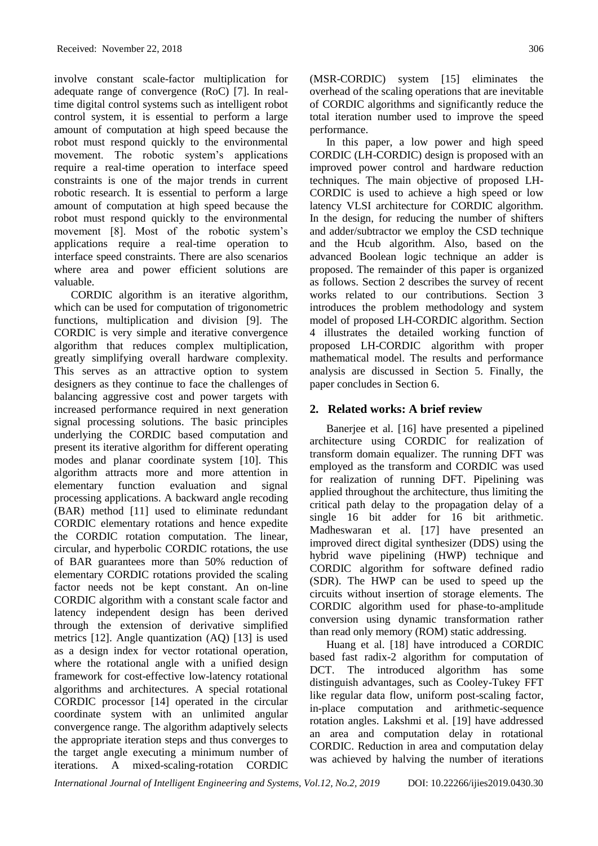involve constant scale-factor multiplication for adequate range of convergence (RoC) [7]. In realtime digital control systems such as intelligent robot control system, it is essential to perform a large amount of computation at high speed because the robot must respond quickly to the environmental movement. The robotic system's applications require a real-time operation to interface speed constraints is one of the major trends in current robotic research. It is essential to perform a large amount of computation at high speed because the robot must respond quickly to the environmental movement [8]. Most of the robotic system's applications require a real-time operation to interface speed constraints. There are also scenarios where area and power efficient solutions are valuable.

CORDIC algorithm is an iterative algorithm, which can be used for computation of trigonometric functions, multiplication and division [9]. The CORDIC is very simple and iterative convergence algorithm that reduces complex multiplication, greatly simplifying overall hardware complexity. This serves as an attractive option to system designers as they continue to face the challenges of balancing aggressive cost and power targets with increased performance required in next generation signal processing solutions. The basic principles underlying the CORDIC based computation and present its iterative algorithm for different operating modes and planar coordinate system [10]. This algorithm attracts more and more attention in elementary function evaluation and signal processing applications. A backward angle recoding (BAR) method [11] used to eliminate redundant CORDIC elementary rotations and hence expedite the CORDIC rotation computation. The linear, circular, and hyperbolic CORDIC rotations, the use of BAR guarantees more than 50% reduction of elementary CORDIC rotations provided the scaling factor needs not be kept constant. An on-line CORDIC algorithm with a constant scale factor and latency independent design has been derived through the extension of derivative simplified metrics [12]. Angle quantization (AQ) [13] is used as a design index for vector rotational operation, where the rotational angle with a unified design framework for cost-effective low-latency rotational algorithms and architectures. A special rotational CORDIC processor [14] operated in the circular coordinate system with an unlimited angular convergence range. The algorithm adaptively selects the appropriate iteration steps and thus converges to the target angle executing a minimum number of iterations. A mixed-scaling-rotation CORDIC performance.

In this paper, a low power and high speed CORDIC (LH-CORDIC) design is proposed with an improved power control and hardware reduction techniques. The main objective of proposed LH-CORDIC is used to achieve a high speed or low latency VLSI architecture for CORDIC algorithm. In the design, for reducing the number of shifters and adder/subtractor we employ the CSD technique and the Hcub algorithm. Also, based on the advanced Boolean logic technique an adder is proposed. The remainder of this paper is organized as follows. Section 2 describes the survey of recent works related to our contributions. Section 3 introduces the problem methodology and system model of proposed LH-CORDIC algorithm. Section 4 illustrates the detailed working function of proposed LH-CORDIC algorithm with proper mathematical model. The results and performance analysis are discussed in Section 5. Finally, the paper concludes in Section 6.

## **2. Related works: A brief review**

Banerjee et al. [16] have presented a pipelined architecture using CORDIC for realization of transform domain equalizer. The running DFT was employed as the transform and CORDIC was used for realization of running DFT. Pipelining was applied throughout the architecture, thus limiting the critical path delay to the propagation delay of a single 16 bit adder for 16 bit arithmetic. Madheswaran et al. [17] have presented an improved direct digital synthesizer (DDS) using the hybrid wave pipelining (HWP) technique and CORDIC algorithm for software defined radio (SDR). The HWP can be used to speed up the circuits without insertion of storage elements. The CORDIC algorithm used for phase-to-amplitude conversion using dynamic transformation rather than read only memory (ROM) static addressing.

Huang et al. [18] have introduced a CORDIC based fast radix-2 algorithm for computation of DCT. The introduced algorithm has some distinguish advantages, such as Cooley-Tukey FFT like regular data flow, uniform post-scaling factor, in-place computation and arithmetic-sequence rotation angles. Lakshmi et al. [19] have addressed an area and computation delay in rotational CORDIC. Reduction in area and computation delay was achieved by halving the number of iterations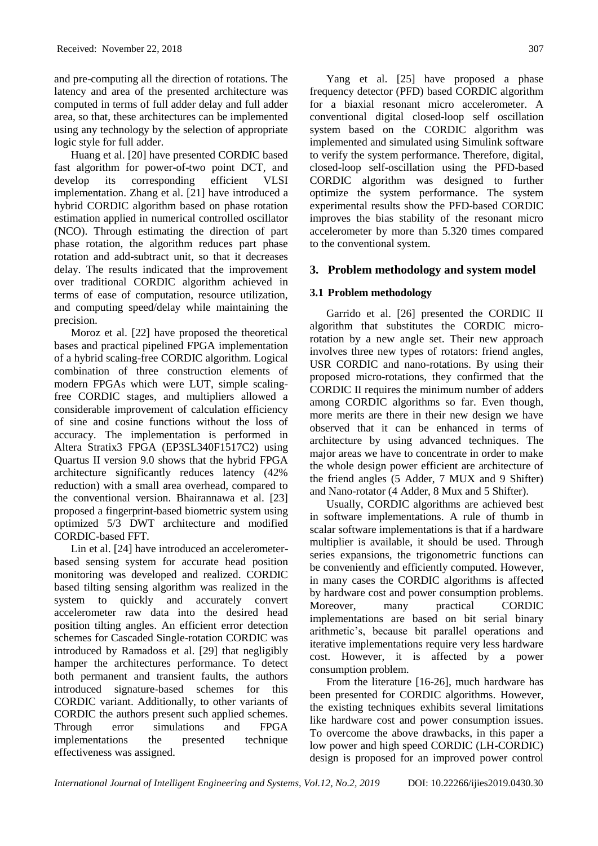and pre-computing all the direction of rotations. The latency and area of the presented architecture was computed in terms of full adder delay and full adder area, so that, these architectures can be implemented using any technology by the selection of appropriate logic style for full adder.

Huang et al. [20] have presented CORDIC based fast algorithm for power-of-two point DCT, and develop its corresponding efficient VLSI implementation. Zhang et al. [21] have introduced a hybrid CORDIC algorithm based on phase rotation estimation applied in numerical controlled oscillator (NCO). Through estimating the direction of part phase rotation, the algorithm reduces part phase rotation and add-subtract unit, so that it decreases delay. The results indicated that the improvement over traditional CORDIC algorithm achieved in terms of ease of computation, resource utilization, and computing speed/delay while maintaining the precision.

Moroz et al. [22] have proposed the theoretical bases and practical pipelined FPGA implementation of a hybrid scaling-free CORDIC algorithm. Logical combination of three construction elements of modern FPGAs which were LUT, simple scalingfree CORDIC stages, and multipliers allowed a considerable improvement of calculation efficiency of sine and cosine functions without the loss of accuracy. The implementation is performed in Altera Stratix3 FPGA (EP3SL340F1517C2) using Quartus II version 9.0 shows that the hybrid FPGA architecture significantly reduces latency (42% reduction) with a small area overhead, compared to the conventional version. Bhairannawa et al. [23] proposed a fingerprint-based biometric system using optimized 5/3 DWT architecture and modified CORDIC-based FFT.

Lin et al. [24] have introduced an accelerometerbased sensing system for accurate head position monitoring was developed and realized. CORDIC based tilting sensing algorithm was realized in the system to quickly and accurately convert accelerometer raw data into the desired head position tilting angles. An efficient error detection schemes for Cascaded Single-rotation CORDIC was introduced by Ramadoss et al. [29] that negligibly hamper the architectures performance. To detect both permanent and transient faults, the authors introduced signature-based schemes for this CORDIC variant. Additionally, to other variants of CORDIC the authors present such applied schemes. Through error simulations and FPGA implementations the presented technique effectiveness was assigned.

 Yang et al. [25] have proposed a phase frequency detector (PFD) based CORDIC algorithm for a biaxial resonant micro accelerometer. A conventional digital closed-loop self oscillation system based on the CORDIC algorithm was implemented and simulated using Simulink software to verify the system performance. Therefore, digital, closed-loop self-oscillation using the PFD-based CORDIC algorithm was designed to further optimize the system performance. The system experimental results show the PFD-based CORDIC improves the bias stability of the resonant micro accelerometer by more than 5.320 times compared to the conventional system.

## **3. Problem methodology and system model**

## **3.1 Problem methodology**

Garrido et al. [26] presented the CORDIC II algorithm that substitutes the CORDIC microrotation by a new angle set. Their new approach involves three new types of rotators: friend angles, USR CORDIC and nano-rotations. By using their proposed micro-rotations, they confirmed that the CORDIC II requires the minimum number of adders among CORDIC algorithms so far. Even though, more merits are there in their new design we have observed that it can be enhanced in terms of architecture by using advanced techniques. The major areas we have to concentrate in order to make the whole design power efficient are architecture of the friend angles (5 Adder, 7 MUX and 9 Shifter) and Nano-rotator (4 Adder, 8 Mux and 5 Shifter).

Usually, CORDIC algorithms are achieved best in software implementations. A rule of thumb in scalar software implementations is that if a hardware multiplier is available, it should be used. Through series expansions, the trigonometric functions can be conveniently and efficiently computed. However, in many cases the CORDIC algorithms is affected by hardware cost and power consumption problems. Moreover, many practical CORDIC implementations are based on bit serial binary arithmetic's, because bit parallel operations and iterative implementations require very less hardware cost. However, it is affected by a power consumption problem.

From the literature [16-26], much hardware has been presented for CORDIC algorithms. However, the existing techniques exhibits several limitations like hardware cost and power consumption issues. To overcome the above drawbacks, in this paper a low power and high speed CORDIC (LH-CORDIC) design is proposed for an improved power control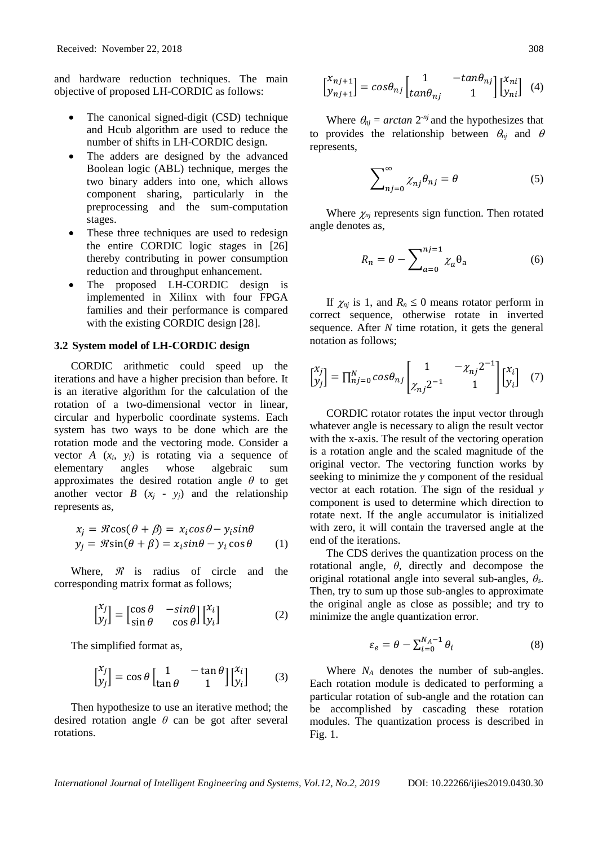and hardware reduction techniques. The main objective of proposed LH-CORDIC as follows:

- The canonical signed-digit (CSD) technique and Hcub algorithm are used to reduce the number of shifts in LH-CORDIC design.
- The adders are designed by the advanced Boolean logic (ABL) technique, merges the two binary adders into one, which allows component sharing, particularly in the preprocessing and the sum-computation stages.
- These three techniques are used to redesign the entire CORDIC logic stages in [26] thereby contributing in power consumption reduction and throughput enhancement.
- The proposed LH-CORDIC design is implemented in Xilinx with four FPGA families and their performance is compared with the existing CORDIC design [28].

#### **3.2 System model of LH-CORDIC design**

CORDIC arithmetic could speed up the iterations and have a higher precision than before. It is an iterative algorithm for the calculation of the rotation of a two-dimensional vector in linear, circular and hyperbolic coordinate systems. Each system has two ways to be done which are the rotation mode and the vectoring mode. Consider a vector  $A(x_i, y_i)$  is rotating via a sequence of elementary angles whose algebraic sum approximates the desired rotation angle *θ* to get another vector *B*  $(x_i - y_i)$  and the relationship represents as,

$$
x_j = \Re \cos(\theta + \beta) = x_i \cos \theta - y_i \sin \theta
$$
  

$$
y_j = \Re \sin(\theta + \beta) = x_i \sin \theta - y_i \cos \theta
$$
 (1)

Where,  $\mathcal{R}$  is radius of circle and the corresponding matrix format as follows;

$$
\begin{bmatrix} x_j \\ y_j \end{bmatrix} = \begin{bmatrix} \cos \theta & -\sin \theta \\ \sin \theta & \cos \theta \end{bmatrix} \begin{bmatrix} x_i \\ y_i \end{bmatrix}
$$
 (2)

The simplified format as,

$$
\begin{bmatrix} x_j \\ y_j \end{bmatrix} = \cos \theta \begin{bmatrix} 1 & -\tan \theta \\ \tan \theta & 1 \end{bmatrix} \begin{bmatrix} x_i \\ y_i \end{bmatrix} \tag{3}
$$

Then hypothesize to use an iterative method; the desired rotation angle *θ* can be got after several rotations.

$$
\begin{bmatrix} x_{nj+1} \\ y_{nj+1} \end{bmatrix} = \cos \theta_{nj} \begin{bmatrix} 1 & -\tan \theta_{nj} \\ \tan \theta_{nj} & 1 \end{bmatrix} \begin{bmatrix} x_{ni} \\ y_{ni} \end{bmatrix}
$$
 (4)

Where  $\theta_{nj} = \arctan 2^{-nj}$  and the hypothesizes that to provides the relationship between  $\theta_{nj}$  and  $\theta$ represents,

$$
\sum_{nj=0}^{\infty} \chi_{nj} \theta_{nj} = \theta \tag{5}
$$

Where  $\chi_{nj}$  represents sign function. Then rotated angle denotes as,

$$
R_n = \theta - \sum_{a=0}^{n} \chi_a \theta_a \tag{6}
$$

If  $\chi_{nj}$  is 1, and  $R_n \leq 0$  means rotator perform in correct sequence, otherwise rotate in inverted sequence. After *N* time rotation, it gets the general notation as follows;

$$
\begin{bmatrix} x_j \\ y_j \end{bmatrix} = \prod_{n=0}^{N} \cos \theta_{nj} \begin{bmatrix} 1 & -\chi_{nj} 2^{-1} \\ \chi_{nj} 2^{-1} & 1 \end{bmatrix} \begin{bmatrix} x_i \\ y_i \end{bmatrix} \tag{7}
$$

CORDIC rotator rotates the input vector through whatever angle is necessary to align the result vector with the x-axis. The result of the vectoring operation is a rotation angle and the scaled magnitude of the original vector. The vectoring function works by seeking to minimize the *y* component of the residual vector at each rotation. The sign of the residual *y* component is used to determine which direction to rotate next. If the angle accumulator is initialized with zero, it will contain the traversed angle at the end of the iterations.

The CDS derives the quantization process on the rotational angle, *θ*, directly and decompose the original rotational angle into several sub-angles, *θs*. Then, try to sum up those sub-angles to approximate the original angle as close as possible; and try to minimize the angle quantization error.

$$
\varepsilon_e = \theta - \sum_{i=0}^{N_A - 1} \theta_i \tag{8}
$$

Where *N<sup>A</sup>* denotes the number of sub-angles. Each rotation module is dedicated to performing a particular rotation of sub-angle and the rotation can be accomplished by cascading these rotation modules. The quantization process is described in Fig. 1.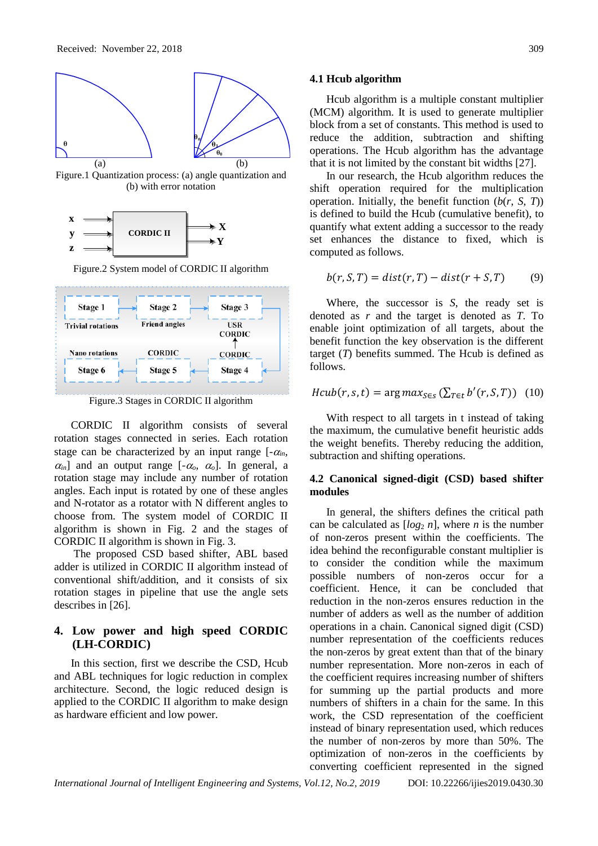

Figure.1 Quantization process: (a) angle quantization and (b) with error notation



Figure.2 System model of CORDIC II algorithm



Figure.3 Stages in CORDIC II algorithm

CORDIC II algorithm consists of several rotation stages connected in series. Each rotation stage can be characterized by an input range  $[-\alpha_{in}]$ ,  $\alpha_{in}$ ] and an output range  $[-\alpha_{o}, \alpha_{o}]$ . In general, a rotation stage may include any number of rotation angles. Each input is rotated by one of these angles and N-rotator as a rotator with N different angles to choose from. The system model of CORDIC II algorithm is shown in Fig. 2 and the stages of CORDIC II algorithm is shown in Fig. 3.

The proposed CSD based shifter, ABL based adder is utilized in CORDIC II algorithm instead of conventional shift/addition, and it consists of six rotation stages in pipeline that use the angle sets describes in [26].

## **4. Low power and high speed CORDIC (LH-CORDIC)**

In this section, first we describe the CSD, Hcub and ABL techniques for logic reduction in complex architecture. Second, the logic reduced design is applied to the CORDIC II algorithm to make design as hardware efficient and low power.

#### **4.1 Hcub algorithm**

Hcub algorithm is a multiple constant multiplier (MCM) algorithm. It is used to generate multiplier block from a set of constants. This method is used to reduce the addition, subtraction and shifting operations. The Hcub algorithm has the advantage that it is not limited by the constant bit widths [27].

In our research, the Hcub algorithm reduces the shift operation required for the multiplication operation. Initially, the benefit function  $(b(r, S, T))$ is defined to build the Hcub (cumulative benefit), to quantify what extent adding a successor to the ready set enhances the distance to fixed, which is computed as follows.

$$
b(r, S, T) = dist(r, T) - dist(r + S, T) \tag{9}
$$

Where, the successor is *S*, the ready set is denoted as *r* and the target is denoted as *T*. To enable joint optimization of all targets, about the benefit function the key observation is the different target (*T*) benefits summed. The Hcub is defined as follows.

$$
Hcub(r, s, t) = \arg max_{S \in S} (\sum_{T \in t} b'(r, S, T))
$$
 (10)

With respect to all targets in t instead of taking the maximum, the cumulative benefit heuristic adds the weight benefits. Thereby reducing the addition, subtraction and shifting operations.

### **4.2 Canonical signed-digit (CSD) based shifter modules**

In general, the shifters defines the critical path can be calculated as  $[log_2 n]$ , where *n* is the number of non-zeros present within the coefficients. The idea behind the reconfigurable constant multiplier is to consider the condition while the maximum possible numbers of non-zeros occur for a coefficient. Hence, it can be concluded that reduction in the non-zeros ensures reduction in the number of adders as well as the number of addition operations in a chain. Canonical signed digit (CSD) number representation of the coefficients reduces the non-zeros by great extent than that of the binary number representation. More non-zeros in each of the coefficient requires increasing number of shifters for summing up the partial products and more numbers of shifters in a chain for the same. In this work, the CSD representation of the coefficient instead of binary representation used, which reduces the number of non-zeros by more than 50%. The optimization of non-zeros in the coefficients by converting coefficient represented in the signed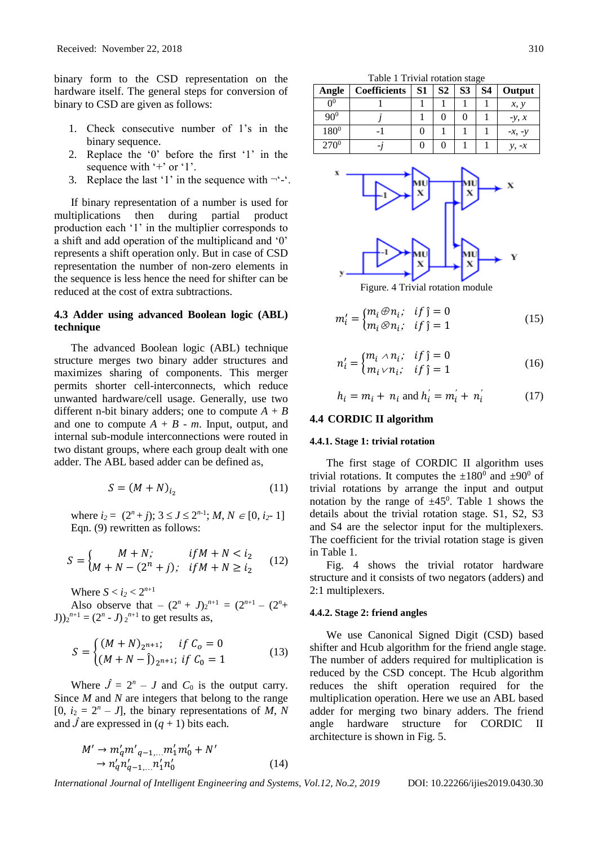binary form to the CSD representation on the hardware itself. The general steps for conversion of binary to CSD are given as follows:

- 1. Check consecutive number of 1's in the binary sequence.
- 2. Replace the '0' before the first '1' in the sequence with '+' or '1'.
- 3. Replace the last '1' in the sequence with  $\neg$ '-'.

If binary representation of a number is used for multiplications then during partial product production each '1' in the multiplier corresponds to a shift and add operation of the multiplicand and '0' represents a shift operation only. But in case of CSD representation the number of non-zero elements in the sequence is less hence the need for shifter can be reduced at the cost of extra subtractions.

### **4.3 Adder using advanced Boolean logic (ABL) technique**

The advanced Boolean logic (ABL) technique structure merges two binary adder structures and maximizes sharing of components. This merger permits shorter cell-interconnects, which reduce unwanted hardware/cell usage. Generally, use two different n-bit binary adders; one to compute  $A + B$ and one to compute  $A + B - m$ . Input, output, and internal sub-module interconnections were routed in two distant groups, where each group dealt with one adder. The ABL based adder can be defined as,

$$
S = (M + N)_{i_2} \tag{11}
$$

where  $i_2 = (2^n + j)$ ;  $3 \le J \le 2^{n-1}$ ;  $M, N \in [0, i_2 - 1]$ Eqn. (9) rewritten as follows:

$$
S = \begin{cases} M + N; & if M + N < i_2 \\ M + N - (2^n + j); & if M + N \ge i_2 \end{cases}
$$
 (12)

Where  $S < i_2 < 2^{n+1}$ 

Also observe that  $-(2^n + J)_2^{n+1} = (2^{n+1} - (2^n +$  $J$  $(y)$ <sub>2</sub><sup>*n*+1</sup> = (2<sup>*n*</sup> - *J*)<sub>2</sub><sup>*n*+1</sup> to get results as,

$$
S = \begin{cases} (M+N)_{2^{n+1}}; & \text{if } C_0 = 0\\ (M+N-\hat{J})_{2^{n+1}}; & \text{if } C_0 = 1 \end{cases}
$$
 (13)

Where  $\hat{J} = 2^n - J$  and  $C_0$  is the output carry. Since *M* and *N* are integers that belong to the range  $[0, i_2 = 2^n - J]$ , the binary representations of *M*, *N* and  $\hat{J}$  are expressed in  $(q + 1)$  bits each.

$$
M' \to m'_q m'_{q-1,...} m'_1 m'_0 + N'
$$
  
\n
$$
\to n'_q n'_{q-1,...} n'_1 n'_0
$$
 (14)

Table 1 Trivial rotation stage

| Angle            | <b>Coefficients</b> | S1 | S <sub>2</sub> | S <sub>3</sub> | S4 | Output   |
|------------------|---------------------|----|----------------|----------------|----|----------|
| 0 <sup>0</sup>   |                     |    |                |                |    | x, y     |
| $90^{0}$         |                     |    |                |                |    | $-y, x$  |
| $180^{0}$        |                     |    |                |                |    | $-x, -y$ |
| 270 <sup>0</sup> |                     |    |                |                |    |          |



Figure. 4 Trivial rotation module

$$
m'_{i} = \begin{cases} m_{i} \oplus n_{i}; & if j = 0 \\ m_{i} \otimes n_{i}; & if j = 1 \end{cases}
$$
 (15)

$$
n'_{i} = \begin{cases} m_{i} \wedge n_{i}; & if j = 0 \\ m_{i} \vee n_{i}; & if j = 1 \end{cases}
$$
 (16)

$$
h_i = m_i + n_i \text{ and } h'_i = m'_i + n'_i \tag{17}
$$

#### **4.4 CORDIC II algorithm**

#### **4.4.1. Stage 1: trivial rotation**

The first stage of CORDIC II algorithm uses trivial rotations. It computes the  $\pm 180^{\circ}$  and  $\pm 90^{\circ}$  of trivial rotations by arrange the input and output notation by the range of  $\pm 45^{\circ}$ . Table 1 shows the details about the trivial rotation stage. S1, S2, S3 and S4 are the selector input for the multiplexers. The coefficient for the trivial rotation stage is given in Table 1.

Fig. 4 shows the trivial rotator hardware structure and it consists of two negators (adders) and 2:1 multiplexers.

## **4.4.2. Stage 2: friend angles**

We use Canonical Signed Digit (CSD) based shifter and Hcub algorithm for the friend angle stage. The number of adders required for multiplication is reduced by the CSD concept. The Hcub algorithm reduces the shift operation required for the multiplication operation. Here we use an ABL based adder for merging two binary adders. The friend angle hardware structure for CORDIC II architecture is shown in Fig. 5.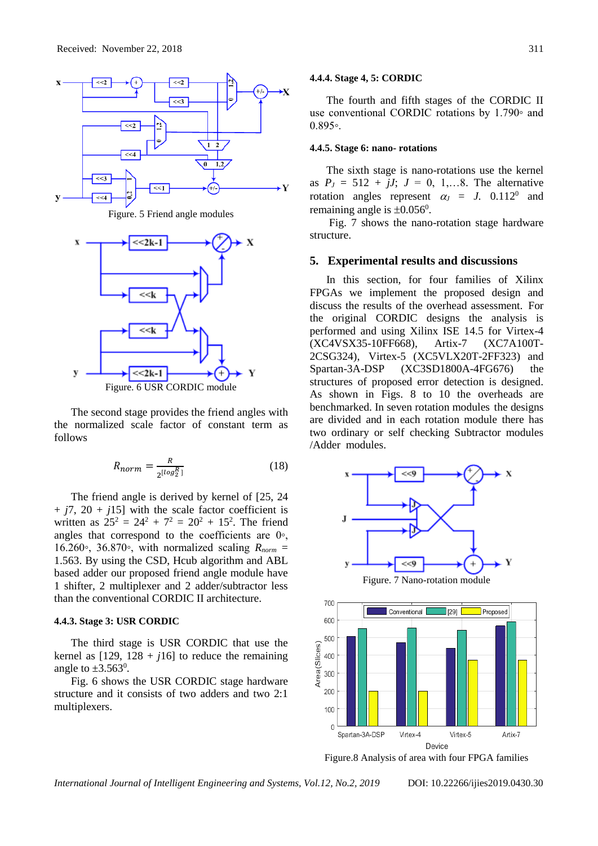

Figure. 5 Friend angle modules



The second stage provides the friend angles with the normalized scale factor of constant term as

$$
R_{norm} = \frac{R}{2^{\lfloor \log_2^R \rfloor}}\tag{18}
$$

The friend angle is derived by kernel of [25, 24  $+$   $j7$ ,  $20 + j15$ ] with the scale factor coefficient is written as  $25^2 = 24^2 + 7^2 = 20^2 + 15^2$ . The friend angles that correspond to the coefficients are 0◦, 16.260∘, 36.870∘, with normalized scaling  $R_{norm}$  = 1.563. By using the CSD, Hcub algorithm and ABL based adder our proposed friend angle module have 1 shifter, 2 multiplexer and 2 adder/subtractor less than the conventional CORDIC II architecture.

#### **4.4.3. Stage 3: USR CORDIC**

follows

The third stage is USR CORDIC that use the kernel as  $[129, 128 + j16]$  to reduce the remaining angle to  $\pm 3.563^{\circ}$ .

Fig. 6 shows the USR CORDIC stage hardware structure and it consists of two adders and two 2:1 multiplexers.

#### **4.4.4. Stage 4, 5: CORDIC**

The fourth and fifth stages of the CORDIC II use conventional CORDIC rotations by 1.790◦ and 0.895◦.

### **4.4.5. Stage 6: nano- rotations**

The sixth stage is nano-rotations use the kernel as  $P_J = 512 + iJ$ ;  $J = 0, 1,...8$ . The alternative rotation angles represent  $\alpha_j = J$ . 0.112<sup>0</sup> and remaining angle is  $\pm 0.056^{\circ}$ .

Fig. 7 shows the nano-rotation stage hardware structure.

#### **5. Experimental results and discussions**

In this section, for four families of Xilinx FPGAs we implement the proposed design and discuss the results of the overhead assessment. For the original CORDIC designs the analysis is performed and using Xilinx ISE 14.5 for Virtex-4 (XC4VSX35-10FF668), Artix-7 (XC7A100T-2CSG324), Virtex-5 (XC5VLX20T-2FF323) and Spartan-3A-DSP (XC3SD1800A-4FG676) the structures of proposed error detection is designed. As shown in Figs. 8 to 10 the overheads are benchmarked. In seven rotation modules the designs are divided and in each rotation module there has two ordinary or self checking Subtractor modules /Adder modules.



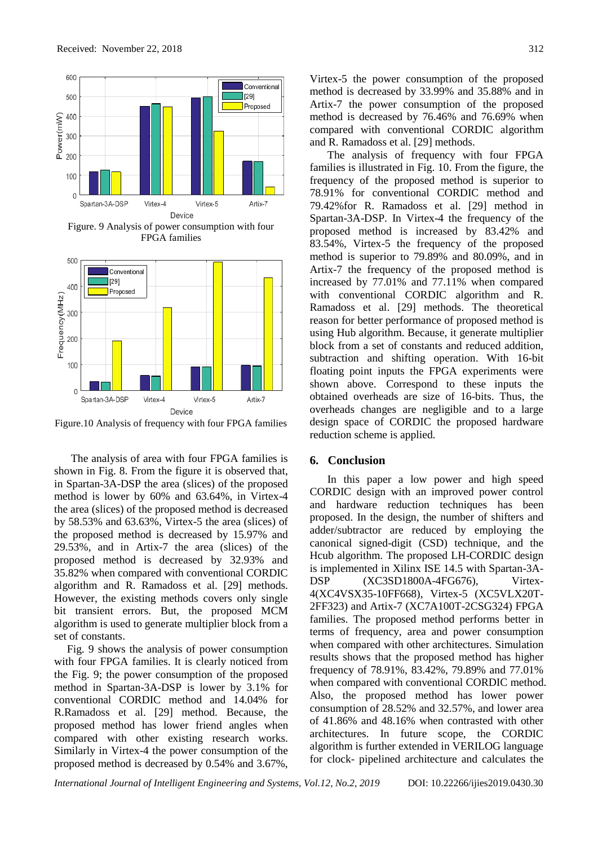

Figure.10 Analysis of frequency with four FPGA families

The analysis of area with four FPGA families is shown in Fig. 8. From the figure it is observed that, in Spartan-3A-DSP the area (slices) of the proposed method is lower by 60% and 63.64%, in Virtex-4 the area (slices) of the proposed method is decreased by 58.53% and 63.63%, Virtex-5 the area (slices) of the proposed method is decreased by 15.97% and 29.53%, and in Artix-7 the area (slices) of the proposed method is decreased by 32.93% and 35.82% when compared with conventional CORDIC algorithm and R. Ramadoss et al. [29] methods. However, the existing methods covers only single bit transient errors. But, the proposed MCM algorithm is used to generate multiplier block from a set of constants.

Fig. 9 shows the analysis of power consumption with four FPGA families. It is clearly noticed from the Fig. 9; the power consumption of the proposed method in Spartan-3A-DSP is lower by 3.1% for conventional CORDIC method and 14.04% for R.Ramadoss et al. [29] method. Because, the proposed method has lower friend angles when compared with other existing research works. Similarly in Virtex-4 the power consumption of the proposed method is decreased by 0.54% and 3.67%,

Virtex-5 the power consumption of the proposed method is decreased by 33.99% and 35.88% and in Artix-7 the power consumption of the proposed method is decreased by 76.46% and 76.69% when compared with conventional CORDIC algorithm and R. Ramadoss et al. [29] methods.

The analysis of frequency with four FPGA families is illustrated in Fig. 10. From the figure, the frequency of the proposed method is superior to 78.91% for conventional CORDIC method and 79.42%for R. Ramadoss et al. [29] method in Spartan-3A-DSP. In Virtex-4 the frequency of the proposed method is increased by 83.42% and 83.54%, Virtex-5 the frequency of the proposed method is superior to 79.89% and 80.09%, and in Artix-7 the frequency of the proposed method is increased by 77.01% and 77.11% when compared with conventional CORDIC algorithm and R. Ramadoss et al. [29] methods. The theoretical reason for better performance of proposed method is using Hub algorithm. Because, it generate multiplier block from a set of constants and reduced addition, subtraction and shifting operation. With 16-bit floating point inputs the FPGA experiments were shown above. Correspond to these inputs the obtained overheads are size of 16-bits. Thus, the overheads changes are negligible and to a large design space of CORDIC the proposed hardware reduction scheme is applied.

## **6. Conclusion**

In this paper a low power and high speed CORDIC design with an improved power control and hardware reduction techniques has been proposed. In the design, the number of shifters and adder/subtractor are reduced by employing the canonical signed-digit (CSD) technique, and the Hcub algorithm. The proposed LH-CORDIC design is implemented in Xilinx ISE 14.5 with Spartan-3A-DSP (XC3SD1800A-4FG676), Virtex-4(XC4VSX35-10FF668), Virtex-5 (XC5VLX20T-2FF323) and Artix-7 (XC7A100T-2CSG324) FPGA families. The proposed method performs better in terms of frequency, area and power consumption when compared with other architectures. Simulation results shows that the proposed method has higher frequency of 78.91%, 83.42%, 79.89% and 77.01% when compared with conventional CORDIC method. Also, the proposed method has lower power consumption of 28.52% and 32.57%, and lower area of 41.86% and 48.16% when contrasted with other architectures. In future scope, the CORDIC algorithm is further extended in VERILOG language for clock- pipelined architecture and calculates the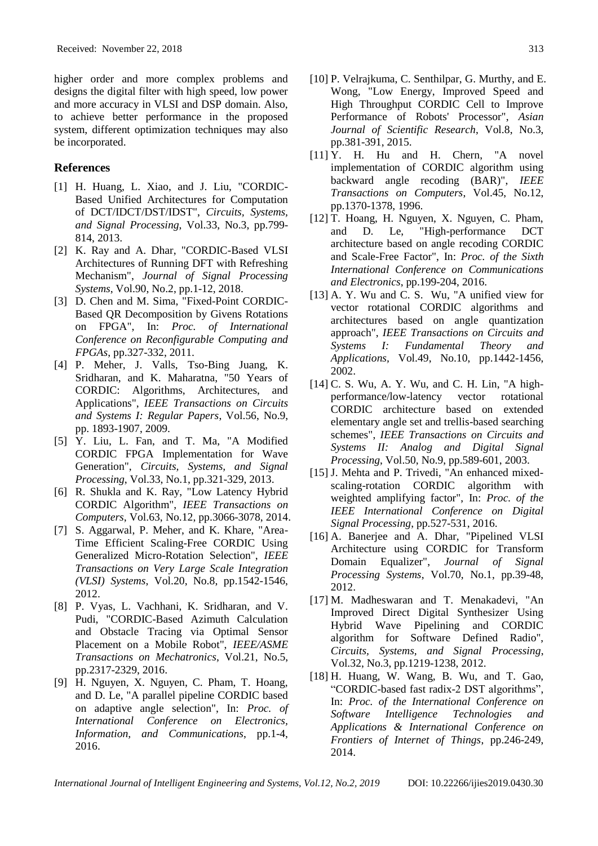higher order and more complex problems and designs the digital filter with high speed, low power and more accuracy in VLSI and DSP domain. Also, to achieve better performance in the proposed system, different optimization techniques may also be incorporated.

## **References**

- [1] H. Huang, L. Xiao, and J. Liu, "CORDIC-Based Unified Architectures for Computation of DCT/IDCT/DST/IDST", *Circuits, Systems, and Signal Processing*, Vol.33, No.3, pp.799- 814, 2013.
- [2] K. Ray and A. Dhar, "CORDIC-Based VLSI Architectures of Running DFT with Refreshing Mechanism", *Journal of Signal Processing Systems*, Vol.90, No.2, pp.1-12, 2018.
- [3] D. Chen and M. Sima, "Fixed-Point CORDIC-Based QR Decomposition by Givens Rotations on FPGA", In: *Proc. of International Conference on Reconfigurable Computing and FPGAs*, pp.327-332, 2011.
- [4] P. Meher, J. Valls, Tso-Bing Juang, K. Sridharan, and K. Maharatna, "50 Years of CORDIC: Algorithms, Architectures, and Applications", *IEEE Transactions on Circuits and Systems I: Regular Papers*, Vol.56, No.9, pp. 1893-1907, 2009.
- [5] Y. Liu, L. Fan, and T. Ma, "A Modified CORDIC FPGA Implementation for Wave Generation", *Circuits, Systems, and Signal Processing*, Vol.33, No.1, pp.321-329, 2013.
- [6] R. Shukla and K. Ray, "Low Latency Hybrid CORDIC Algorithm", *IEEE Transactions on Computers*, Vol.63, No.12, pp.3066-3078, 2014.
- [7] S. Aggarwal, P. Meher, and K. Khare, "Area-Time Efficient Scaling-Free CORDIC Using Generalized Micro-Rotation Selection", *IEEE Transactions on Very Large Scale Integration (VLSI) Systems*, Vol.20, No.8, pp.1542-1546, 2012.
- [8] P. Vyas, L. Vachhani, K. Sridharan, and V. Pudi, "CORDIC-Based Azimuth Calculation and Obstacle Tracing via Optimal Sensor Placement on a Mobile Robot", *IEEE/ASME Transactions on Mechatronics*, Vol.21, No.5, pp.2317-2329, 2016.
- [9] H. Nguyen, X. Nguyen, C. Pham, T. Hoang, and D. Le, "A parallel pipeline CORDIC based on adaptive angle selection", In: *Proc. of International Conference on Electronics, Information, and Communications*, pp.1-4, 2016.
- [10] P. Velrajkuma, C. Senthilpar, G. Murthy, and E. Wong, "Low Energy, Improved Speed and High Throughput CORDIC Cell to Improve Performance of Robots' Processor", *Asian Journal of Scientific Research*, Vol.8, No.3, pp.381-391, 2015.
- [11] Y. H. Hu and H. Chern, "A novel implementation of CORDIC algorithm using backward angle recoding (BAR)", *IEEE Transactions on Computers*, Vol.45, No.12, pp.1370-1378, 1996.
- [12] T. Hoang, H. Nguyen, X. Nguyen, C. Pham, and D. Le, "High-performance DCT architecture based on angle recoding CORDIC and Scale-Free Factor", In: *Proc. of the Sixth International Conference on Communications and Electronics*, pp.199-204, 2016.
- [13] A. Y. Wu and C. S. Wu, "A unified view for vector rotational CORDIC algorithms and architectures based on angle quantization approach", *IEEE Transactions on Circuits and Systems I: Fundamental Theory and Applications,* Vol.49, No.10, pp.1442-1456, 2002.
- [14] C. S. Wu, A. Y. Wu, and C. H. Lin, "A highperformance/low-latency vector rotational CORDIC architecture based on extended elementary angle set and trellis-based searching schemes", *IEEE Transactions on Circuits and Systems II: Analog and Digital Signal Processing*, Vol.50, No.9, pp.589-601, 2003.
- [15] J. Mehta and P. Trivedi, "An enhanced mixedscaling-rotation CORDIC algorithm with weighted amplifying factor", In: *Proc. of the IEEE International Conference on Digital Signal Processing*, pp.527-531, 2016.
- [16] A. Banerjee and A. Dhar, "Pipelined VLSI Architecture using CORDIC for Transform Domain Equalizer", *Journal of Signal Processing Systems*, Vol.70, No.1, pp.39-48, 2012.
- [17] M. Madheswaran and T. Menakadevi, "An Improved Direct Digital Synthesizer Using Hybrid Wave Pipelining and CORDIC algorithm for Software Defined Radio", *Circuits, Systems, and Signal Processing*, Vol.32, No.3, pp.1219-1238, 2012.
- [18] H. Huang, W. Wang, B. Wu, and T. Gao, "CORDIC-based fast radix-2 DST algorithms", In: *Proc. of the International Conference on Software Intelligence Technologies and Applications & International Conference on Frontiers of Internet of Things*, pp.246-249, 2014.